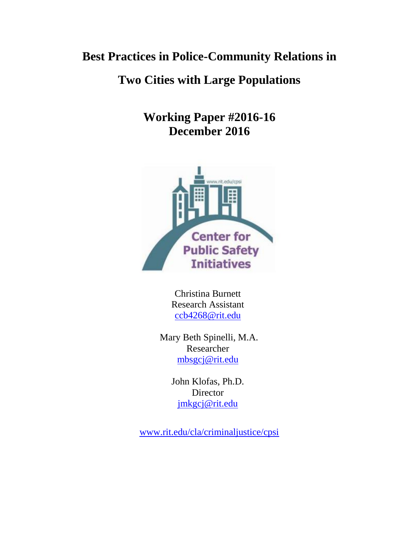# **Best Practices in Police-Community Relations in**

# **Two Cities with Large Populations**

**Working Paper #2016-16 December 2016**



Christina Burnett Research Assistant [ccb4268@rit.edu](mailto:ccb4268@rit.edu)

Mary Beth Spinelli, M.A. Researcher [mbsgcj@rit.edu](mailto:mbsgcj@rit.edu)

> John Klofas, Ph.D. **Director** [jmkgcj@rit.edu](mailto:jmkgcj@rit.edu)

[www.rit.edu/cla/criminaljustice/cpsi](http://www.rit.edu/cla/criminaljustice/cpsi)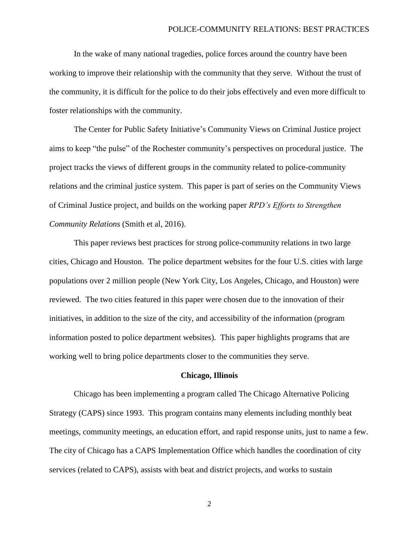In the wake of many national tragedies, police forces around the country have been working to improve their relationship with the community that they serve. Without the trust of the community, it is difficult for the police to do their jobs effectively and even more difficult to foster relationships with the community.

The Center for Public Safety Initiative's Community Views on Criminal Justice project aims to keep "the pulse" of the Rochester community's perspectives on procedural justice. The project tracks the views of different groups in the community related to police-community relations and the criminal justice system. This paper is part of series on the Community Views of Criminal Justice project, and builds on the working paper *RPD's Efforts to Strengthen Community Relations* (Smith et al, 2016).

This paper reviews best practices for strong police-community relations in two large cities, Chicago and Houston. The police department websites for the four U.S. cities with large populations over 2 million people (New York City, Los Angeles, Chicago, and Houston) were reviewed. The two cities featured in this paper were chosen due to the innovation of their initiatives, in addition to the size of the city, and accessibility of the information (program information posted to police department websites). This paper highlights programs that are working well to bring police departments closer to the communities they serve.

#### **Chicago, Illinois**

Chicago has been implementing a program called The Chicago Alternative Policing Strategy (CAPS) since 1993. This program contains many elements including monthly beat meetings, community meetings, an education effort, and rapid response units, just to name a few. The city of Chicago has a CAPS Implementation Office which handles the coordination of city services (related to CAPS), assists with beat and district projects, and works to sustain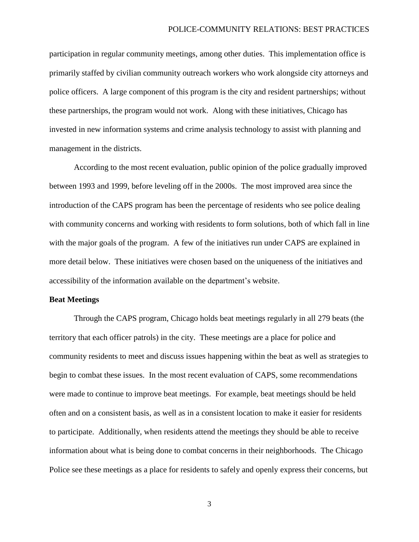participation in regular community meetings, among other duties. This implementation office is primarily staffed by civilian community outreach workers who work alongside city attorneys and police officers. A large component of this program is the city and resident partnerships; without these partnerships, the program would not work. Along with these initiatives, Chicago has invested in new information systems and crime analysis technology to assist with planning and management in the districts.

According to the most recent evaluation, public opinion of the police gradually improved between 1993 and 1999, before leveling off in the 2000s. The most improved area since the introduction of the CAPS program has been the percentage of residents who see police dealing with community concerns and working with residents to form solutions, both of which fall in line with the major goals of the program. A few of the initiatives run under CAPS are explained in more detail below. These initiatives were chosen based on the uniqueness of the initiatives and accessibility of the information available on the department's website.

# **Beat Meetings**

Through the CAPS program, Chicago holds beat meetings regularly in all 279 beats (the territory that each officer patrols) in the city. These meetings are a place for police and community residents to meet and discuss issues happening within the beat as well as strategies to begin to combat these issues. In the most recent evaluation of CAPS, some recommendations were made to continue to improve beat meetings. For example, beat meetings should be held often and on a consistent basis, as well as in a consistent location to make it easier for residents to participate. Additionally, when residents attend the meetings they should be able to receive information about what is being done to combat concerns in their neighborhoods. The Chicago Police see these meetings as a place for residents to safely and openly express their concerns, but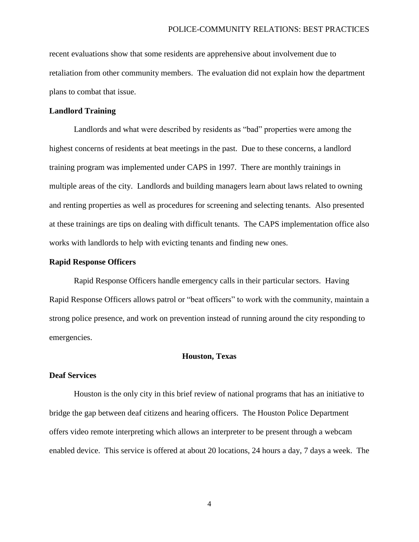recent evaluations show that some residents are apprehensive about involvement due to retaliation from other community members. The evaluation did not explain how the department plans to combat that issue.

# **Landlord Training**

Landlords and what were described by residents as "bad" properties were among the highest concerns of residents at beat meetings in the past. Due to these concerns, a landlord training program was implemented under CAPS in 1997. There are monthly trainings in multiple areas of the city. Landlords and building managers learn about laws related to owning and renting properties as well as procedures for screening and selecting tenants. Also presented at these trainings are tips on dealing with difficult tenants. The CAPS implementation office also works with landlords to help with evicting tenants and finding new ones.

## **Rapid Response Officers**

Rapid Response Officers handle emergency calls in their particular sectors. Having Rapid Response Officers allows patrol or "beat officers" to work with the community, maintain a strong police presence, and work on prevention instead of running around the city responding to emergencies.

# **Houston, Texas**

## **Deaf Services**

Houston is the only city in this brief review of national programs that has an initiative to bridge the gap between deaf citizens and hearing officers. The Houston Police Department offers video remote interpreting which allows an interpreter to be present through a webcam enabled device. This service is offered at about 20 locations, 24 hours a day, 7 days a week. The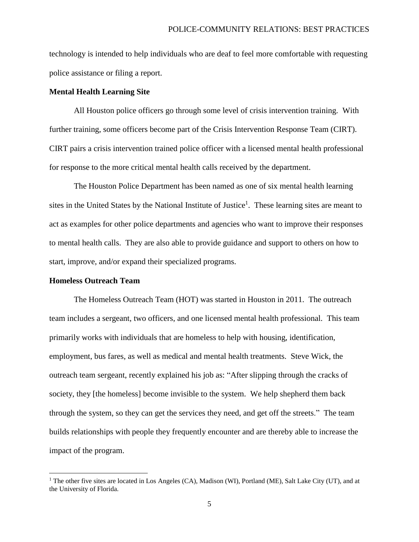technology is intended to help individuals who are deaf to feel more comfortable with requesting police assistance or filing a report.

# **Mental Health Learning Site**

All Houston police officers go through some level of crisis intervention training. With further training, some officers become part of the Crisis Intervention Response Team (CIRT). CIRT pairs a crisis intervention trained police officer with a licensed mental health professional for response to the more critical mental health calls received by the department.

The Houston Police Department has been named as one of six mental health learning sites in the United States by the National Institute of Justice<sup>1</sup>. These learning sites are meant to act as examples for other police departments and agencies who want to improve their responses to mental health calls. They are also able to provide guidance and support to others on how to start, improve, and/or expand their specialized programs.

### **Homeless Outreach Team**

 $\overline{\phantom{a}}$ 

The Homeless Outreach Team (HOT) was started in Houston in 2011. The outreach team includes a sergeant, two officers, and one licensed mental health professional. This team primarily works with individuals that are homeless to help with housing, identification, employment, bus fares, as well as medical and mental health treatments. Steve Wick, the outreach team sergeant, recently explained his job as: "After slipping through the cracks of society, they [the homeless] become invisible to the system. We help shepherd them back through the system, so they can get the services they need, and get off the streets." The team builds relationships with people they frequently encounter and are thereby able to increase the impact of the program.

<sup>&</sup>lt;sup>1</sup> The other five sites are located in Los Angeles (CA), Madison (WI), Portland (ME), Salt Lake City (UT), and at the University of Florida.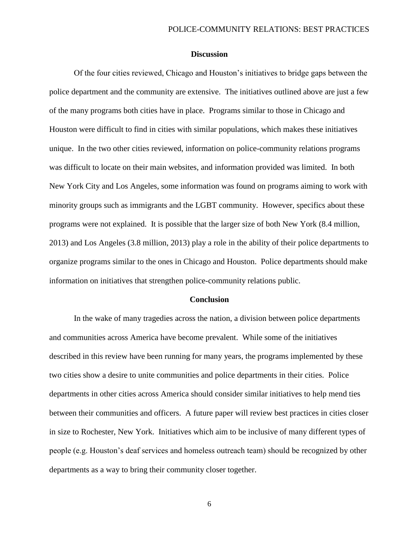### **Discussion**

Of the four cities reviewed, Chicago and Houston's initiatives to bridge gaps between the police department and the community are extensive. The initiatives outlined above are just a few of the many programs both cities have in place. Programs similar to those in Chicago and Houston were difficult to find in cities with similar populations, which makes these initiatives unique. In the two other cities reviewed, information on police-community relations programs was difficult to locate on their main websites, and information provided was limited. In both New York City and Los Angeles, some information was found on programs aiming to work with minority groups such as immigrants and the LGBT community. However, specifics about these programs were not explained. It is possible that the larger size of both New York (8.4 million, 2013) and Los Angeles (3.8 million, 2013) play a role in the ability of their police departments to organize programs similar to the ones in Chicago and Houston. Police departments should make information on initiatives that strengthen police-community relations public.

#### **Conclusion**

In the wake of many tragedies across the nation, a division between police departments and communities across America have become prevalent. While some of the initiatives described in this review have been running for many years, the programs implemented by these two cities show a desire to unite communities and police departments in their cities. Police departments in other cities across America should consider similar initiatives to help mend ties between their communities and officers. A future paper will review best practices in cities closer in size to Rochester, New York. Initiatives which aim to be inclusive of many different types of people (e.g. Houston's deaf services and homeless outreach team) should be recognized by other departments as a way to bring their community closer together.